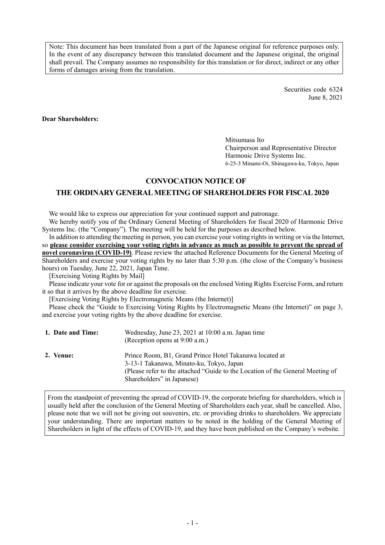Note: This document has been translated from a part of the Japanese original for reference purposes only. In the event of any discrepancy between this translated document and the Japanese original, the original shall prevail. The Company assumes no responsibility for this translation or for direct, indirect or any other forms of damages arising from the translation.

> Securities code 6324 June 8, 2021

**Dear Shareholders:** 

Mitsumasa Ito Chairperson and Representative Director Harmonic Drive Systems Inc. 6-25-3 Minami-Oi, Shinagawa-ku, Tokyo, Japan

# **CONVOCATION NOTICE OF**

## **THE ORDINARY GENERAL MEETING OF SHAREHOLDERS FOR FISCAL 2020**

We would like to express our appreciation for your continued support and patronage.

We hereby notify you of the Ordinary General Meeting of Shareholders for fiscal 2020 of Harmonic Drive Systems Inc. (the "Company"). The meeting will be held for the purposes as described below.

In addition to attending the meeting in person, you can exercise your voting rights in writing or via the Internet, so **please consider exercising your voting rights in advance as much as possible to prevent the spread of novel coronavirus (COVID-19)**. Please review the attached Reference Documents for the General Meeting of Shareholders and exercise your voting rights by no later than 5:30 p.m. (the close of the Company's business hours) on Tuesday, June 22, 2021, Japan Time.

[Exercising Voting Rights by Mail]

Please indicate your vote for or against the proposals on the enclosed Voting Rights Exercise Form, and return it so that it arrives by the above deadline for exercise.

[Exercising Voting Rights by Electromagnetic Means (the Internet)]

Please check the "Guide to Exercising Voting Rights by Electromagnetic Means (the Internet)" on page 3, and exercise your voting rights by the above deadline for exercise.

| 1. Date and Time: | Wednesday, June 23, 2021 at 10:00 a.m. Japan time<br>(Reception opens at 9:00 a.m.)                                                                                                                                 |
|-------------------|---------------------------------------------------------------------------------------------------------------------------------------------------------------------------------------------------------------------|
| 2. Venue:         | Prince Room, B1, Grand Prince Hotel Takanawa located at<br>3-13-1 Takanawa, Minato-ku, Tokyo, Japan<br>(Please refer to the attached "Guide to the Location of the General Meeting of<br>Shareholders" in Japanese) |

From the standpoint of preventing the spread of COVID-19, the corporate briefing for shareholders, which is usually held after the conclusion of the General Meeting of Shareholders each year, shall be cancelled. Also, please note that we will not be giving out souvenirs, etc. or providing drinks to shareholders. We appreciate your understanding. There are important matters to be noted in the holding of the General Meeting of Shareholders in light of the effects of COVID-19, and they have been published on the Company's website.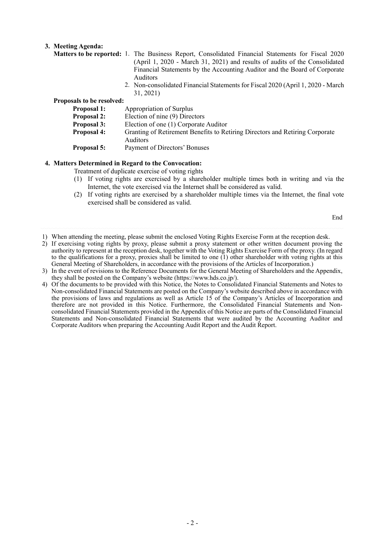## **3. Meeting Agenda:**

- **Matters to be reported:** 1. The Business Report, Consolidated Financial Statements for Fiscal 2020 (April 1, 2020 - March 31, 2021) and results of audits of the Consolidated Financial Statements by the Accounting Auditor and the Board of Corporate Auditors
	- 2. Non-consolidated Financial Statements for Fiscal 2020 (April 1, 2020 March 31, 2021)

#### **Proposals to be resolved:**

| Appropriation of Surplus                                                                        |
|-------------------------------------------------------------------------------------------------|
| Election of nine (9) Directors                                                                  |
| Election of one (1) Corporate Auditor                                                           |
| Granting of Retirement Benefits to Retiring Directors and Retiring Corporate<br><b>Auditors</b> |
| Payment of Directors' Bonuses                                                                   |
|                                                                                                 |

## **4. Matters Determined in Regard to the Convocation:**

Treatment of duplicate exercise of voting rights

- (1) If voting rights are exercised by a shareholder multiple times both in writing and via the Internet, the vote exercised via the Internet shall be considered as valid.
- (2) If voting rights are exercised by a shareholder multiple times via the Internet, the final vote exercised shall be considered as valid.

End

- 1) When attending the meeting, please submit the enclosed Voting Rights Exercise Form at the reception desk.
- 2) If exercising voting rights by proxy, please submit a proxy statement or other written document proving the authority to represent at the reception desk, together with the Voting Rights Exercise Form of the proxy. (In regard to the qualifications for a proxy, proxies shall be limited to one (1) other shareholder with voting rights at this General Meeting of Shareholders, in accordance with the provisions of the Articles of Incorporation.)
- 3) In the event of revisions to the Reference Documents for the General Meeting of Shareholders and the Appendix, they shall be posted on the Company's website (https://www.hds.co.jp/).
- 4) Of the documents to be provided with this Notice, the Notes to Consolidated Financial Statements and Notes to Non-consolidated Financial Statements are posted on the Company's website described above in accordance with the provisions of laws and regulations as well as Article 15 of the Company's Articles of Incorporation and therefore are not provided in this Notice. Furthermore, the Consolidated Financial Statements and Nonconsolidated Financial Statements provided in the Appendix of this Notice are parts of the Consolidated Financial Statements and Non-consolidated Financial Statements that were audited by the Accounting Auditor and Corporate Auditors when preparing the Accounting Audit Report and the Audit Report.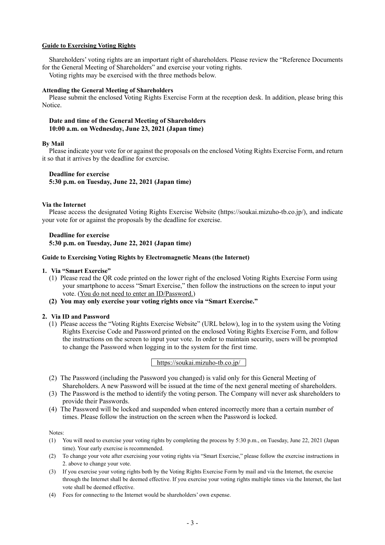## **Guide to Exercising Voting Rights**

Shareholders' voting rights are an important right of shareholders. Please review the "Reference Documents for the General Meeting of Shareholders" and exercise your voting rights.

Voting rights may be exercised with the three methods below.

#### **Attending the General Meeting of Shareholders**

Please submit the enclosed Voting Rights Exercise Form at the reception desk. In addition, please bring this Notice.

#### **Date and time of the General Meeting of Shareholders 10:00 a.m. on Wednesday, June 23, 2021 (Japan time)**

#### **By Mail**

Please indicate your vote for or against the proposals on the enclosed Voting Rights Exercise Form, and return it so that it arrives by the deadline for exercise.

## **Deadline for exercise**

**5:30 p.m. on Tuesday, June 22, 2021 (Japan time)** 

#### **Via the Internet**

Please access the designated Voting Rights Exercise Website (https://soukai.mizuho-tb.co.jp/), and indicate your vote for or against the proposals by the deadline for exercise.

## **Deadline for exercise 5:30 p.m. on Tuesday, June 22, 2021 (Japan time)**

#### **Guide to Exercising Voting Rights by Electromagnetic Means (the Internet)**

#### **1. Via "Smart Exercise"**

- (1) Please read the QR code printed on the lower right of the enclosed Voting Rights Exercise Form using your smartphone to access "Smart Exercise," then follow the instructions on the screen to input your vote. (You do not need to enter an ID/Password.)
- **(2) You may only exercise your voting rights once via "Smart Exercise."**

#### **2. Via ID and Password**

(1) Please access the "Voting Rights Exercise Website" (URL below), log in to the system using the Voting Rights Exercise Code and Password printed on the enclosed Voting Rights Exercise Form, and follow the instructions on the screen to input your vote. In order to maintain security, users will be prompted to change the Password when logging in to the system for the first time.

#### https://soukai.mizuho-tb.co.jp/

- (2) The Password (including the Password you changed) is valid only for this General Meeting of Shareholders. A new Password will be issued at the time of the next general meeting of shareholders.
- (3) The Password is the method to identify the voting person. The Company will never ask shareholders to provide their Passwords.
- (4) The Password will be locked and suspended when entered incorrectly more than a certain number of times. Please follow the instruction on the screen when the Password is locked.

Notes:

- (1) You will need to exercise your voting rights by completing the process by 5:30 p.m., on Tuesday, June 22, 2021 (Japan time). Your early exercise is recommended.
- (2) To change your vote after exercising your voting rights via "Smart Exercise," please follow the exercise instructions in 2. above to change your vote.
- (3) If you exercise your voting rights both by the Voting Rights Exercise Form by mail and via the Internet, the exercise through the Internet shall be deemed effective. If you exercise your voting rights multiple times via the Internet, the last vote shall be deemed effective.
- (4) Fees for connecting to the Internet would be shareholders' own expense.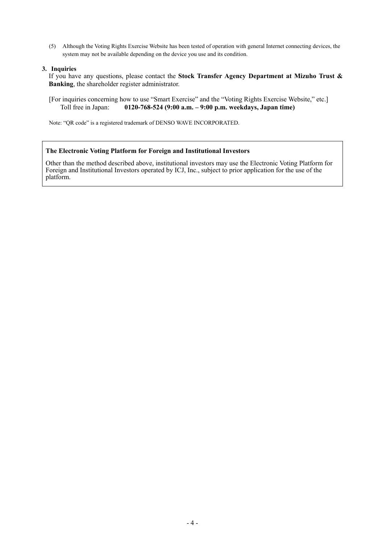(5) Although the Voting Rights Exercise Website has been tested of operation with general Internet connecting devices, the system may not be available depending on the device you use and its condition.

## **3. Inquiries**

If you have any questions, please contact the **Stock Transfer Agency Department at Mizuho Trust & Banking**, the shareholder register administrator.

[For inquiries concerning how to use "Smart Exercise" and the "Voting Rights Exercise Website," etc.] Toll free in Japan: **0120-768-524 (9:00 a.m. – 9:00 p.m. weekdays, Japan time)**

Note: "QR code" is a registered trademark of DENSO WAVE INCORPORATED.

#### **The Electronic Voting Platform for Foreign and Institutional Investors**

Other than the method described above, institutional investors may use the Electronic Voting Platform for Foreign and Institutional Investors operated by ICJ, Inc., subject to prior application for the use of the platform.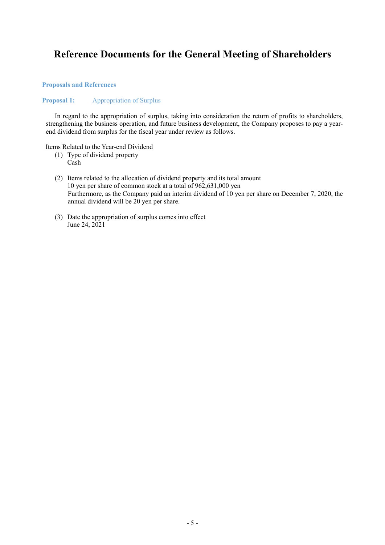# **Reference Documents for the General Meeting of Shareholders**

## **Proposals and References**

## **Proposal 1:** Appropriation of Surplus

In regard to the appropriation of surplus, taking into consideration the return of profits to shareholders, strengthening the business operation, and future business development, the Company proposes to pay a yearend dividend from surplus for the fiscal year under review as follows.

Items Related to the Year-end Dividend

- (1) Type of dividend property Cash
- (2) Items related to the allocation of dividend property and its total amount 10 yen per share of common stock at a total of 962,631,000 yen Furthermore, as the Company paid an interim dividend of 10 yen per share on December 7, 2020, the annual dividend will be 20 yen per share.
- (3) Date the appropriation of surplus comes into effect June 24, 2021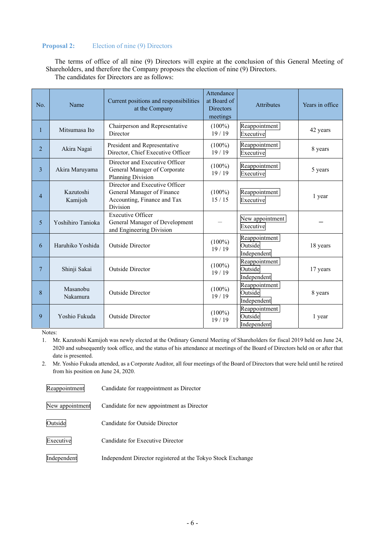# **Proposal 2:** Election of nine (9) Directors

The terms of office of all nine (9) Directors will expire at the conclusion of this General Meeting of Shareholders, and therefore the Company proposes the election of nine (9) Directors. The candidates for Directors are as follows:

| No.            | Name                 | Current positions and responsibilities<br>at the Company                                                | Attendance<br>at Board of<br><b>Directors</b><br>meetings | <b>Attributes</b>                       | Years in office |
|----------------|----------------------|---------------------------------------------------------------------------------------------------------|-----------------------------------------------------------|-----------------------------------------|-----------------|
| 1              | Mitsumasa Ito        | Chairperson and Representative<br>Director                                                              | $(100\%)$<br>19/19                                        | Reappointment<br>Executive              | 42 years        |
| $\overline{2}$ | Akira Nagai          | President and Representative<br>Director, Chief Executive Officer                                       | $(100\%)$<br>19/19                                        | Reappointment<br>Executive              | 8 years         |
| 3              | Akira Maruyama       | Director and Executive Officer<br>General Manager of Corporate<br>Planning Division                     | $(100\%)$<br>19/19                                        | Reappointment<br>Executive              | 5 years         |
| $\overline{4}$ | Kazutoshi<br>Kamijoh | Director and Executive Officer<br>General Manager of Finance<br>Accounting, Finance and Tax<br>Division | $(100\%)$<br>15/15                                        | Reappointment<br>Executive              | 1 year          |
| 5              | Yoshihiro Tanioka    | <b>Executive Officer</b><br>General Manager of Development<br>and Engineering Division                  |                                                           | New appointment<br>Executive            |                 |
| 6              | Haruhiko Yoshida     | Reappointment<br>$(100\%)$<br>Outside<br><b>Outside Director</b><br>19/19<br>Independent                |                                                           | 18 years                                |                 |
| $\tau$         | Shinji Sakai         | <b>Outside Director</b>                                                                                 | $(100\%)$<br>19/19                                        | Reappointment<br>Outside<br>Independent | 17 years        |
| 8              | Masanobu<br>Nakamura | <b>Outside Director</b>                                                                                 | $(100\%)$<br>19/19                                        | Reappointment<br>Outside<br>Independent | 8 years         |
| 9              | Yoshio Fukuda        | <b>Outside Director</b>                                                                                 | $(100\%)$<br>19/19                                        | Reappointment<br>Outside<br>Independent | 1 year          |

Notes:

1. Mr. Kazutoshi Kamijoh was newly elected at the Ordinary General Meeting of Shareholders for fiscal 2019 held on June 24, 2020 and subsequently took office, and the status of his attendance at meetings of the Board of Directors held on or after that date is presented.

2. Mr. Yoshio Fukuda attended, as a Corporate Auditor, all four meetings of the Board of Directors that were held until he retired from his position on June 24, 2020.

| Reappointment   | Candidate for reappointment as Director                     |
|-----------------|-------------------------------------------------------------|
| New appointment | Candidate for new appointment as Director                   |
| Outside         | Candidate for Outside Director                              |
| Executive       | Candidate for Executive Director                            |
| Independent     | Independent Director registered at the Tokyo Stock Exchange |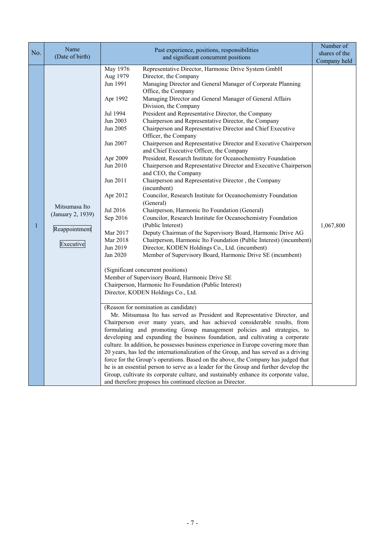| No. | Name<br>(Date of birth)                                          | Past experience, positions, responsibilities<br>and significant concurrent positions                                                                                                                                                                                                                                                                                                                                                                                                                                                                                                                                                                                                                                                                                                                                                                                                                                                                                                                                                                                                                                                                                                                                                                                                                                                                                                                                                                                                                                                                                                                                                                                                                                                                                                                                                                                                                                                                                                                                                                                                                                                                                                                                                                                                                                                                                                                                                                                                                                                                                                      | Number of<br>shares of the<br>Company held |
|-----|------------------------------------------------------------------|-------------------------------------------------------------------------------------------------------------------------------------------------------------------------------------------------------------------------------------------------------------------------------------------------------------------------------------------------------------------------------------------------------------------------------------------------------------------------------------------------------------------------------------------------------------------------------------------------------------------------------------------------------------------------------------------------------------------------------------------------------------------------------------------------------------------------------------------------------------------------------------------------------------------------------------------------------------------------------------------------------------------------------------------------------------------------------------------------------------------------------------------------------------------------------------------------------------------------------------------------------------------------------------------------------------------------------------------------------------------------------------------------------------------------------------------------------------------------------------------------------------------------------------------------------------------------------------------------------------------------------------------------------------------------------------------------------------------------------------------------------------------------------------------------------------------------------------------------------------------------------------------------------------------------------------------------------------------------------------------------------------------------------------------------------------------------------------------------------------------------------------------------------------------------------------------------------------------------------------------------------------------------------------------------------------------------------------------------------------------------------------------------------------------------------------------------------------------------------------------------------------------------------------------------------------------------------------------|--------------------------------------------|
| 1   | Mitsumasa Ito<br>(January 2, 1939)<br>Reappointment<br>Executive | May 1976<br>Representative Director, Harmonic Drive System GmbH<br>Aug 1979<br>Director, the Company<br>Jun 1991<br>Managing Director and General Manager of Corporate Planning<br>Office, the Company<br>Managing Director and General Manager of General Affairs<br>Apr 1992<br>Division, the Company<br>President and Representative Director, the Company<br>Jul 1994<br>Jun 2003<br>Chairperson and Representative Director, the Company<br>Jun 2005<br>Chairperson and Representative Director and Chief Executive<br>Officer, the Company<br>Chairperson and Representative Director and Executive Chairperson<br>Jun 2007<br>and Chief Executive Officer, the Company<br>President, Research Institute for Oceanochemistry Foundation<br>Apr 2009<br>Jun 2010<br>Chairperson and Representative Director and Executive Chairperson<br>and CEO, the Company<br>Jun 2011<br>Chairperson and Representative Director, the Company<br>(incumbent)<br>Councilor, Research Institute for Oceanochemistry Foundation<br>Apr 2012<br>(General)<br>Jul 2016<br>Chairperson, Harmonic Ito Foundation (General)<br>Sep 2016<br>Councilor, Research Institute for Oceanochemistry Foundation<br>(Public Interest)<br>Mar 2017<br>Deputy Chairman of the Supervisory Board, Harmonic Drive AG<br>Mar 2018<br>Chairperson, Harmonic Ito Foundation (Public Interest) (incumbent)<br>Jun 2019<br>Director, KODEN Holdings Co., Ltd. (incumbent)<br>Member of Supervisory Board, Harmonic Drive SE (incumbent)<br>Jan 2020<br>(Significant concurrent positions)<br>Member of Supervisory Board, Harmonic Drive SE<br>Chairperson, Harmonic Ito Foundation (Public Interest)<br>Director, KODEN Holdings Co., Ltd.<br>(Reason for nomination as candidate)<br>Mr. Mitsumasa Ito has served as President and Representative Director, and<br>Chairperson over many years, and has achieved considerable results, from<br>formulating and promoting Group management policies and strategies, to<br>developing and expanding the business foundation, and cultivating a corporate<br>culture. In addition, he possesses business experience in Europe covering more than<br>20 years, has led the internationalization of the Group, and has served as a driving<br>force for the Group's operations. Based on the above, the Company has judged that<br>he is an essential person to serve as a leader for the Group and further develop the<br>Group, cultivate its corporate culture, and sustainably enhance its corporate value,<br>and therefore proposes his continued election as Director. | 1,067,800                                  |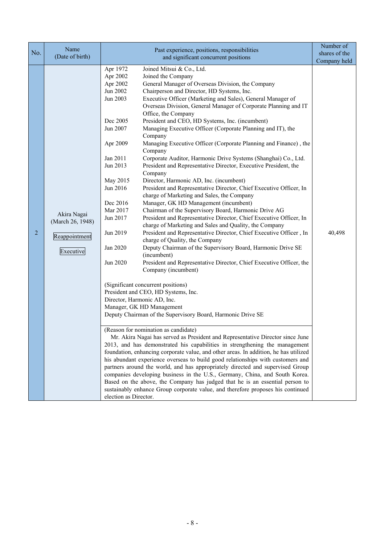| Name<br>Past experience, positions, responsibilities<br>No.                                                                                                                                                                                                                                                                                                                                                                                                                                                                                                                                                                                                                                                                                                                                                                                                                                                                                                                                                                                                                                                                                                                                                                                                                                                                                                                                                                                                                                                                                                                                                                                                                                                                                                                                                                                                                                                                                                                                                                                                                                                                                                                                                                                                                                                                                                                                                                                                                                                                                                                                                        | Number of<br>shares of the |
|--------------------------------------------------------------------------------------------------------------------------------------------------------------------------------------------------------------------------------------------------------------------------------------------------------------------------------------------------------------------------------------------------------------------------------------------------------------------------------------------------------------------------------------------------------------------------------------------------------------------------------------------------------------------------------------------------------------------------------------------------------------------------------------------------------------------------------------------------------------------------------------------------------------------------------------------------------------------------------------------------------------------------------------------------------------------------------------------------------------------------------------------------------------------------------------------------------------------------------------------------------------------------------------------------------------------------------------------------------------------------------------------------------------------------------------------------------------------------------------------------------------------------------------------------------------------------------------------------------------------------------------------------------------------------------------------------------------------------------------------------------------------------------------------------------------------------------------------------------------------------------------------------------------------------------------------------------------------------------------------------------------------------------------------------------------------------------------------------------------------------------------------------------------------------------------------------------------------------------------------------------------------------------------------------------------------------------------------------------------------------------------------------------------------------------------------------------------------------------------------------------------------------------------------------------------------------------------------------------------------|----------------------------|
| (Date of birth)<br>and significant concurrent positions                                                                                                                                                                                                                                                                                                                                                                                                                                                                                                                                                                                                                                                                                                                                                                                                                                                                                                                                                                                                                                                                                                                                                                                                                                                                                                                                                                                                                                                                                                                                                                                                                                                                                                                                                                                                                                                                                                                                                                                                                                                                                                                                                                                                                                                                                                                                                                                                                                                                                                                                                            | Company held               |
| Apr 1972<br>Joined Mitsui & Co., Ltd.<br>Apr 2002<br>Joined the Company<br>General Manager of Overseas Division, the Company<br>Apr 2002<br>Jun 2002<br>Chairperson and Director, HD Systems, Inc.<br>Jun 2003<br>Executive Officer (Marketing and Sales), General Manager of<br>Overseas Division, General Manager of Corporate Planning and IT<br>Office, the Company<br>President and CEO, HD Systems, Inc. (incumbent)<br>Dec 2005<br>Jun 2007<br>Managing Executive Officer (Corporate Planning and IT), the<br>Company<br>Apr 2009<br>Managing Executive Officer (Corporate Planning and Finance), the<br>Company<br>Jan 2011<br>Corporate Auditor, Harmonic Drive Systems (Shanghai) Co., Ltd.<br>Jun 2013<br>President and Representative Director, Executive President, the<br>Company<br>May 2015<br>Director, Harmonic AD, Inc. (incumbent)<br>Jun 2016<br>President and Representative Director, Chief Executive Officer, In<br>charge of Marketing and Sales, the Company<br>Manager, GK HD Management (incumbent)<br>Dec 2016<br>Chairman of the Supervisory Board, Harmonic Drive AG<br>Mar 2017<br>Akira Nagai<br>President and Representative Director, Chief Executive Officer, In<br>Jun 2017<br>(March 26, 1948)<br>charge of Marketing and Sales and Quality, the Company<br>Jun 2019<br>President and Representative Director, Chief Executive Officer, In<br>2<br>Reappointment<br>charge of Quality, the Company<br>Deputy Chairman of the Supervisory Board, Harmonic Drive SE<br>Jan 2020<br>Executive<br>(incumbent)<br>President and Representative Director, Chief Executive Officer, the<br>Jun 2020<br>Company (incumbent)<br>(Significant concurrent positions)<br>President and CEO, HD Systems, Inc.<br>Director, Harmonic AD, Inc.<br>Manager, GK HD Management<br>Deputy Chairman of the Supervisory Board, Harmonic Drive SE<br>(Reason for nomination as candidate)<br>Mr. Akira Nagai has served as President and Representative Director since June<br>2013, and has demonstrated his capabilities in strengthening the management<br>foundation, enhancing corporate value, and other areas. In addition, he has utilized<br>his abundant experience overseas to build good relationships with customers and<br>partners around the world, and has appropriately directed and supervised Group<br>companies developing business in the U.S., Germany, China, and South Korea.<br>Based on the above, the Company has judged that he is an essential person to<br>sustainably enhance Group corporate value, and therefore proposes his continued<br>election as Director. | 40,498                     |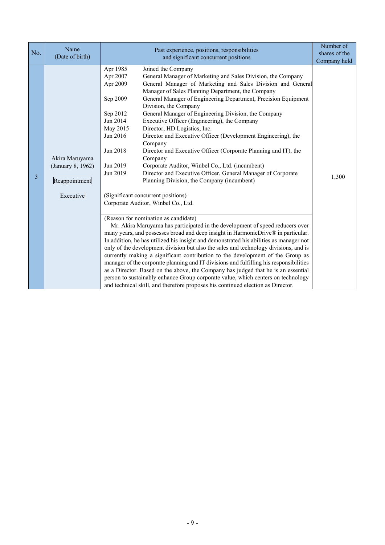| No. | Name<br>(Date of birth)                                           | Past experience, positions, responsibilities<br>and significant concurrent positions                                                                                                                                                                                                                                                                                                                                                                                                                                                                                                                                                                                                                                                                                                                                                                                                                                                                                                                                                                                                                                                                                                                                                                                                                                                                                                                                                                                                                                                                                                                                                                   | Number of<br>shares of the<br>Company held |
|-----|-------------------------------------------------------------------|--------------------------------------------------------------------------------------------------------------------------------------------------------------------------------------------------------------------------------------------------------------------------------------------------------------------------------------------------------------------------------------------------------------------------------------------------------------------------------------------------------------------------------------------------------------------------------------------------------------------------------------------------------------------------------------------------------------------------------------------------------------------------------------------------------------------------------------------------------------------------------------------------------------------------------------------------------------------------------------------------------------------------------------------------------------------------------------------------------------------------------------------------------------------------------------------------------------------------------------------------------------------------------------------------------------------------------------------------------------------------------------------------------------------------------------------------------------------------------------------------------------------------------------------------------------------------------------------------------------------------------------------------------|--------------------------------------------|
| 3   | Akira Maruyama<br>(January 8, 1962)<br>Reappointment<br>Executive | Apr 1985<br>Joined the Company<br>Apr 2007<br>General Manager of Marketing and Sales Division, the Company<br>General Manager of Marketing and Sales Division and General<br>Apr 2009<br>Manager of Sales Planning Department, the Company<br>General Manager of Engineering Department, Precision Equipment<br>Sep 2009<br>Division, the Company<br>General Manager of Engineering Division, the Company<br>Sep 2012<br>Jun 2014<br>Executive Officer (Engineering), the Company<br>May 2015<br>Director, HD Logistics, Inc.<br>Jun 2016<br>Director and Executive Officer (Development Engineering), the<br>Company<br>Jun 2018<br>Director and Executive Officer (Corporate Planning and IT), the<br>Company<br>Corporate Auditor, Winbel Co., Ltd. (incumbent)<br>Jun 2019<br>Director and Executive Officer, General Manager of Corporate<br>Jun 2019<br>Planning Division, the Company (incumbent)<br>(Significant concurrent positions)<br>Corporate Auditor, Winbel Co., Ltd.<br>(Reason for nomination as candidate)<br>Mr. Akira Maruyama has participated in the development of speed reducers over<br>many years, and possesses broad and deep insight in HarmonicDrive® in particular.<br>In addition, he has utilized his insight and demonstrated his abilities as manager not<br>only of the development division but also the sales and technology divisions, and is<br>currently making a significant contribution to the development of the Group as<br>manager of the corporate planning and IT divisions and fulfilling his responsibilities<br>as a Director. Based on the above, the Company has judged that he is an essential | 1,300                                      |
|     |                                                                   | person to sustainably enhance Group corporate value, which centers on technology<br>and technical skill, and therefore proposes his continued election as Director.                                                                                                                                                                                                                                                                                                                                                                                                                                                                                                                                                                                                                                                                                                                                                                                                                                                                                                                                                                                                                                                                                                                                                                                                                                                                                                                                                                                                                                                                                    |                                            |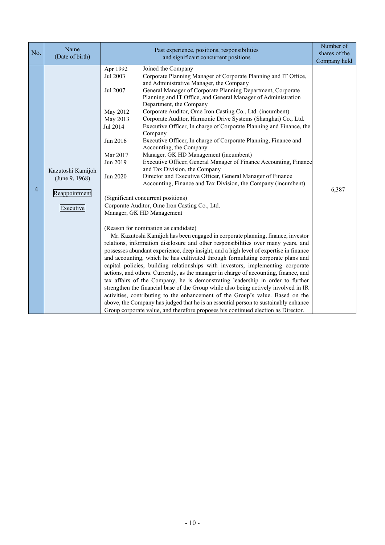| No.            | Name<br>(Date of birth)                                           | Past experience, positions, responsibilities<br>and significant concurrent positions                                                                                                                                                                                                                                                                                                                                                                                                                                                                                                                                                                                                                                                                                                                                                                                                                                                                                                                                                                                                                                                                                                                                                                                                                                                                                                                                                                                                                                                                                                                                                                                                                                                                                                                                                                                                                                                                                                                                                                                                                                                               | Number of<br>shares of the<br>Company held |
|----------------|-------------------------------------------------------------------|----------------------------------------------------------------------------------------------------------------------------------------------------------------------------------------------------------------------------------------------------------------------------------------------------------------------------------------------------------------------------------------------------------------------------------------------------------------------------------------------------------------------------------------------------------------------------------------------------------------------------------------------------------------------------------------------------------------------------------------------------------------------------------------------------------------------------------------------------------------------------------------------------------------------------------------------------------------------------------------------------------------------------------------------------------------------------------------------------------------------------------------------------------------------------------------------------------------------------------------------------------------------------------------------------------------------------------------------------------------------------------------------------------------------------------------------------------------------------------------------------------------------------------------------------------------------------------------------------------------------------------------------------------------------------------------------------------------------------------------------------------------------------------------------------------------------------------------------------------------------------------------------------------------------------------------------------------------------------------------------------------------------------------------------------------------------------------------------------------------------------------------------------|--------------------------------------------|
| $\overline{4}$ | Kazutoshi Kamijoh<br>(June 9, 1968)<br>Reappointment<br>Executive | Joined the Company<br>Apr 1992<br>Corporate Planning Manager of Corporate Planning and IT Office,<br>Jul 2003<br>and Administrative Manager, the Company<br>General Manager of Corporate Planning Department, Corporate<br>Jul 2007<br>Planning and IT Office, and General Manager of Administration<br>Department, the Company<br>Corporate Auditor, Ome Iron Casting Co., Ltd. (incumbent)<br>May 2012<br>Corporate Auditor, Harmonic Drive Systems (Shanghai) Co., Ltd.<br>May 2013<br>Executive Officer, In charge of Corporate Planning and Finance, the<br>Jul 2014<br>Company<br>Executive Officer, In charge of Corporate Planning, Finance and<br>Jun 2016<br>Accounting, the Company<br>Manager, GK HD Management (incumbent)<br>Mar 2017<br>Jun 2019<br>Executive Officer, General Manager of Finance Accounting, Finance<br>and Tax Division, the Company<br>Director and Executive Officer, General Manager of Finance<br>Jun 2020<br>Accounting, Finance and Tax Division, the Company (incumbent)<br>(Significant concurrent positions)<br>Corporate Auditor, Ome Iron Casting Co., Ltd.<br>Manager, GK HD Management<br>(Reason for nomination as candidate)<br>Mr. Kazutoshi Kamijoh has been engaged in corporate planning, finance, investor<br>relations, information disclosure and other responsibilities over many years, and<br>possesses abundant experience, deep insight, and a high level of expertise in finance<br>and accounting, which he has cultivated through formulating corporate plans and<br>capital policies, building relationships with investors, implementing corporate<br>actions, and others. Currently, as the manager in charge of accounting, finance, and<br>tax affairs of the Company, he is demonstrating leadership in order to further<br>strengthen the financial base of the Group while also being actively involved in IR<br>activities, contributing to the enhancement of the Group's value. Based on the<br>above, the Company has judged that he is an essential person to sustainably enhance<br>Group corporate value, and therefore proposes his continued election as Director. | 6,387                                      |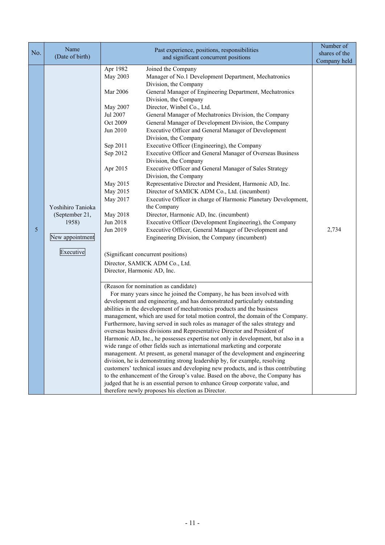|     | Name              |                                    |                                                                                                                                                             | Number of     |
|-----|-------------------|------------------------------------|-------------------------------------------------------------------------------------------------------------------------------------------------------------|---------------|
| No. | (Date of birth)   |                                    | Past experience, positions, responsibilities<br>and significant concurrent positions                                                                        | shares of the |
|     |                   |                                    |                                                                                                                                                             | Company held  |
|     |                   | Apr 1982                           | Joined the Company                                                                                                                                          |               |
|     |                   | May 2003                           | Manager of No.1 Development Department, Mechatronics                                                                                                        |               |
|     |                   |                                    | Division, the Company                                                                                                                                       |               |
|     |                   | Mar 2006                           | General Manager of Engineering Department, Mechatronics<br>Division, the Company                                                                            |               |
|     |                   | May 2007                           | Director, Winbel Co., Ltd.                                                                                                                                  |               |
|     |                   | Jul 2007                           | General Manager of Mechatronics Division, the Company                                                                                                       |               |
|     |                   | Oct 2009                           | General Manager of Development Division, the Company                                                                                                        |               |
|     |                   | Jun 2010                           | Executive Officer and General Manager of Development                                                                                                        |               |
|     |                   |                                    | Division, the Company                                                                                                                                       |               |
|     |                   | Sep 2011                           | Executive Officer (Engineering), the Company                                                                                                                |               |
|     |                   | Sep 2012                           | Executive Officer and General Manager of Overseas Business                                                                                                  |               |
|     |                   |                                    | Division, the Company                                                                                                                                       |               |
|     |                   | Apr 2015                           | Executive Officer and General Manager of Sales Strategy<br>Division, the Company                                                                            |               |
|     |                   | May 2015                           | Representative Director and President, Harmonic AD, Inc.                                                                                                    |               |
|     |                   | May 2015                           | Director of SAMICK ADM Co., Ltd. (incumbent)                                                                                                                |               |
|     |                   | May 2017                           | Executive Officer in charge of Harmonic Planetary Development,                                                                                              |               |
|     | Yoshihiro Tanioka |                                    | the Company                                                                                                                                                 |               |
|     | (September 21,    | May 2018                           | Director, Harmonic AD, Inc. (incumbent)                                                                                                                     |               |
|     | 1958)             | Jun 2018                           | Executive Officer (Development Engineering), the Company                                                                                                    |               |
| 5   |                   | Jun 2019                           | Executive Officer, General Manager of Development and                                                                                                       | 2,734         |
|     | New appointment   |                                    | Engineering Division, the Company (incumbent)                                                                                                               |               |
|     | Executive         | (Significant concurrent positions) |                                                                                                                                                             |               |
|     |                   |                                    | Director, SAMICK ADM Co., Ltd.                                                                                                                              |               |
|     |                   | Director, Harmonic AD, Inc.        |                                                                                                                                                             |               |
|     |                   |                                    | (Reason for nomination as candidate)                                                                                                                        |               |
|     |                   |                                    | For many years since he joined the Company, he has been involved with                                                                                       |               |
|     |                   |                                    | development and engineering, and has demonstrated particularly outstanding                                                                                  |               |
|     |                   |                                    | abilities in the development of mechatronics products and the business                                                                                      |               |
|     |                   |                                    | management, which are used for total motion control, the domain of the Company.                                                                             |               |
|     |                   |                                    | Furthermore, having served in such roles as manager of the sales strategy and                                                                               |               |
|     |                   |                                    | overseas business divisions and Representative Director and President of                                                                                    |               |
|     |                   |                                    | Harmonic AD, Inc., he possesses expertise not only in development, but also in a                                                                            |               |
|     |                   |                                    | wide range of other fields such as international marketing and corporate                                                                                    |               |
|     |                   |                                    | management. At present, as general manager of the development and engineering<br>division, he is demonstrating strong leadership by, for example, resolving |               |
|     |                   |                                    | customers' technical issues and developing new products, and is thus contributing                                                                           |               |
|     |                   |                                    | to the enhancement of the Group's value. Based on the above, the Company has                                                                                |               |
|     |                   |                                    | judged that he is an essential person to enhance Group corporate value, and                                                                                 |               |
|     |                   |                                    | therefore newly proposes his election as Director.                                                                                                          |               |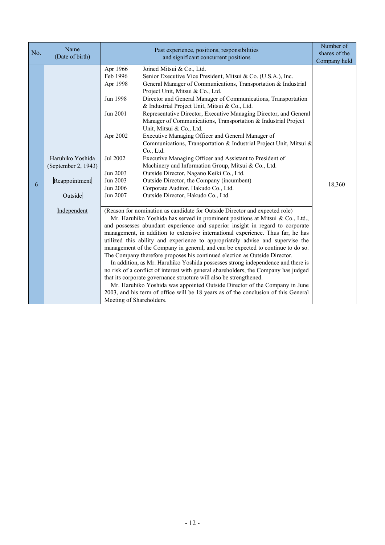| No. | Name<br>(Date of birth)                                                            | Past experience, positions, responsibilities<br>and significant concurrent positions                                                                                                                                                                                                                                                                                                                                                                                                                                                                                                                                                                                                                                                                                                                                                                                                                                                                                                                                                                                                                                                                                                                                                                                                                                                                                                                                                                                                                                                                                                                                                                                                                                                                                                                                                                                                                                                                                                                                                                                                              | Number of<br>shares of the<br>Company held |
|-----|------------------------------------------------------------------------------------|---------------------------------------------------------------------------------------------------------------------------------------------------------------------------------------------------------------------------------------------------------------------------------------------------------------------------------------------------------------------------------------------------------------------------------------------------------------------------------------------------------------------------------------------------------------------------------------------------------------------------------------------------------------------------------------------------------------------------------------------------------------------------------------------------------------------------------------------------------------------------------------------------------------------------------------------------------------------------------------------------------------------------------------------------------------------------------------------------------------------------------------------------------------------------------------------------------------------------------------------------------------------------------------------------------------------------------------------------------------------------------------------------------------------------------------------------------------------------------------------------------------------------------------------------------------------------------------------------------------------------------------------------------------------------------------------------------------------------------------------------------------------------------------------------------------------------------------------------------------------------------------------------------------------------------------------------------------------------------------------------------------------------------------------------------------------------------------------------|--------------------------------------------|
| 6   | Haruhiko Yoshida<br>(September 2, 1943)<br>Reappointment<br>Outside<br>Independent | Apr 1966<br>Joined Mitsui & Co., Ltd.<br>Feb 1996<br>Senior Executive Vice President, Mitsui & Co. (U.S.A.), Inc.<br>Apr 1998<br>General Manager of Communications, Transportation & Industrial<br>Project Unit, Mitsui & Co., Ltd.<br>Director and General Manager of Communications, Transportation<br>Jun 1998<br>& Industrial Project Unit, Mitsui & Co., Ltd.<br>Jun 2001<br>Representative Director, Executive Managing Director, and General<br>Manager of Communications, Transportation & Industrial Project<br>Unit, Mitsui & Co., Ltd.<br>Apr 2002<br>Executive Managing Officer and General Manager of<br>Communications, Transportation & Industrial Project Unit, Mitsui &<br>Co., Ltd.<br>Jul 2002<br>Executive Managing Officer and Assistant to President of<br>Machinery and Information Group, Mitsui & Co., Ltd.<br>Jun 2003<br>Outside Director, Nagano Keiki Co., Ltd.<br>Jun 2003<br>Outside Director, the Company (incumbent)<br>Corporate Auditor, Hakudo Co., Ltd.<br>Jun 2006<br>Jun 2007<br>Outside Director, Hakudo Co., Ltd.<br>(Reason for nomination as candidate for Outside Director and expected role)<br>Mr. Haruhiko Yoshida has served in prominent positions at Mitsui & Co., Ltd.,<br>and possesses abundant experience and superior insight in regard to corporate<br>management, in addition to extensive international experience. Thus far, he has<br>utilized this ability and experience to appropriately advise and supervise the<br>management of the Company in general, and can be expected to continue to do so.<br>The Company therefore proposes his continued election as Outside Director.<br>In addition, as Mr. Haruhiko Yoshida possesses strong independence and there is<br>no risk of a conflict of interest with general shareholders, the Company has judged<br>that its corporate governance structure will also be strengthened.<br>Mr. Haruhiko Yoshida was appointed Outside Director of the Company in June<br>2003, and his term of office will be 18 years as of the conclusion of this General<br>Meeting of Shareholders. | 18,360                                     |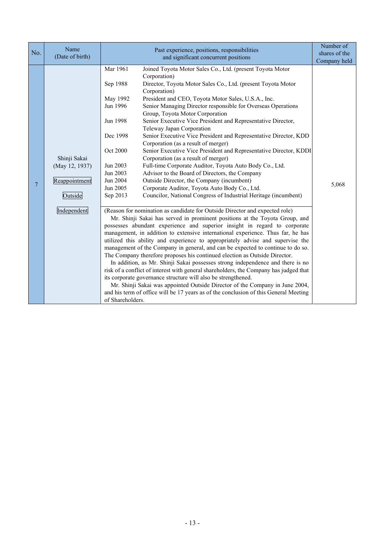| No. | Name<br>(Date of birth)                                                   | Past experience, positions, responsibilities<br>and significant concurrent positions                                                                                                                                                                                                                                                                                                                                                                                                                                                                                                                                                                                                                                                                                                                                                                                                                                                                                                                                                                                                                                                                                                                                                                                                                                                                                                                                                                                                                                                                                                                                                                                                                                                                                                                                                                                                                                                                                                                                                                                                           | Number of<br>shares of the<br>Company held |
|-----|---------------------------------------------------------------------------|------------------------------------------------------------------------------------------------------------------------------------------------------------------------------------------------------------------------------------------------------------------------------------------------------------------------------------------------------------------------------------------------------------------------------------------------------------------------------------------------------------------------------------------------------------------------------------------------------------------------------------------------------------------------------------------------------------------------------------------------------------------------------------------------------------------------------------------------------------------------------------------------------------------------------------------------------------------------------------------------------------------------------------------------------------------------------------------------------------------------------------------------------------------------------------------------------------------------------------------------------------------------------------------------------------------------------------------------------------------------------------------------------------------------------------------------------------------------------------------------------------------------------------------------------------------------------------------------------------------------------------------------------------------------------------------------------------------------------------------------------------------------------------------------------------------------------------------------------------------------------------------------------------------------------------------------------------------------------------------------------------------------------------------------------------------------------------------------|--------------------------------------------|
| 7   | Shinji Sakai<br>(May 12, 1937)<br>Reappointment<br>Outside<br>Independent | Mar 1961<br>Joined Toyota Motor Sales Co., Ltd. (present Toyota Motor<br>Corporation)<br>Director, Toyota Motor Sales Co., Ltd. (present Toyota Motor<br>Sep 1988<br>Corporation)<br>President and CEO, Toyota Motor Sales, U.S.A., Inc.<br>May 1992<br>Jun 1996<br>Senior Managing Director responsible for Overseas Operations<br>Group, Toyota Motor Corporation<br>Senior Executive Vice President and Representative Director,<br>Jun 1998<br>Teleway Japan Corporation<br>Senior Executive Vice President and Representative Director, KDD<br>Dec 1998<br>Corporation (as a result of merger)<br>Senior Executive Vice President and Representative Director, KDDI<br>Oct 2000<br>Corporation (as a result of merger)<br>Jun 2003<br>Full-time Corporate Auditor, Toyota Auto Body Co., Ltd.<br>Jun 2003<br>Advisor to the Board of Directors, the Company<br>Jun 2004<br>Outside Director, the Company (incumbent)<br>Corporate Auditor, Toyota Auto Body Co., Ltd.<br>Jun 2005<br>Sep 2013<br>Councilor, National Congress of Industrial Heritage (incumbent)<br>(Reason for nomination as candidate for Outside Director and expected role)<br>Mr. Shinji Sakai has served in prominent positions at the Toyota Group, and<br>possesses abundant experience and superior insight in regard to corporate<br>management, in addition to extensive international experience. Thus far, he has<br>utilized this ability and experience to appropriately advise and supervise the<br>management of the Company in general, and can be expected to continue to do so.<br>The Company therefore proposes his continued election as Outside Director.<br>In addition, as Mr. Shinji Sakai possesses strong independence and there is no<br>risk of a conflict of interest with general shareholders, the Company has judged that<br>its corporate governance structure will also be strengthened.<br>Mr. Shinji Sakai was appointed Outside Director of the Company in June 2004,<br>and his term of office will be 17 years as of the conclusion of this General Meeting<br>of Shareholders. | 5,068                                      |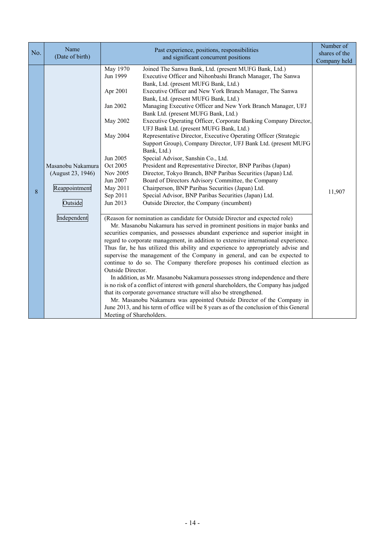| No. | Name                                                                              | Past experience, positions, responsibilities                                                                                                                                                                                                                                                                                                                                                                                                                                                                                                                                                                                                                                                                                                                                                                                                                                                                                                                                                                                                                                                                                                                                                                                                                                                                                                                                                                                                                                                                                                                                                                                                                                                                                                                                                                                                                                                                                                                                                                                                                                                                                                                                                                                                        | Number of<br>shares of the |
|-----|-----------------------------------------------------------------------------------|-----------------------------------------------------------------------------------------------------------------------------------------------------------------------------------------------------------------------------------------------------------------------------------------------------------------------------------------------------------------------------------------------------------------------------------------------------------------------------------------------------------------------------------------------------------------------------------------------------------------------------------------------------------------------------------------------------------------------------------------------------------------------------------------------------------------------------------------------------------------------------------------------------------------------------------------------------------------------------------------------------------------------------------------------------------------------------------------------------------------------------------------------------------------------------------------------------------------------------------------------------------------------------------------------------------------------------------------------------------------------------------------------------------------------------------------------------------------------------------------------------------------------------------------------------------------------------------------------------------------------------------------------------------------------------------------------------------------------------------------------------------------------------------------------------------------------------------------------------------------------------------------------------------------------------------------------------------------------------------------------------------------------------------------------------------------------------------------------------------------------------------------------------------------------------------------------------------------------------------------------------|----------------------------|
|     | (Date of birth)                                                                   | and significant concurrent positions                                                                                                                                                                                                                                                                                                                                                                                                                                                                                                                                                                                                                                                                                                                                                                                                                                                                                                                                                                                                                                                                                                                                                                                                                                                                                                                                                                                                                                                                                                                                                                                                                                                                                                                                                                                                                                                                                                                                                                                                                                                                                                                                                                                                                | Company held               |
| 8   | Masanobu Nakamura<br>(August 23, 1946)<br>Reappointment<br>Outside<br>Independent | May 1970<br>Joined The Sanwa Bank, Ltd. (present MUFG Bank, Ltd.)<br>Jun 1999<br>Executive Officer and Nihonbashi Branch Manager, The Sanwa<br>Bank, Ltd. (present MUFG Bank, Ltd.)<br>Apr 2001<br>Executive Officer and New York Branch Manager, The Sanwa<br>Bank, Ltd. (present MUFG Bank, Ltd.)<br>Jan 2002<br>Managing Executive Officer and New York Branch Manager, UFJ<br>Bank Ltd. (present MUFG Bank, Ltd.)<br>May 2002<br>Executive Operating Officer, Corporate Banking Company Director,<br>UFJ Bank Ltd. (present MUFG Bank, Ltd.)<br>Representative Director, Executive Operating Officer (Strategic<br>May 2004<br>Support Group), Company Director, UFJ Bank Ltd. (present MUFG<br>Bank, Ltd.)<br>Special Advisor, Sanshin Co., Ltd.<br>Jun 2005<br>Oct 2005<br>President and Representative Director, BNP Paribas (Japan)<br>Nov 2005<br>Director, Tokyo Branch, BNP Paribas Securities (Japan) Ltd.<br>Jun 2007<br>Board of Directors Advisory Committee, the Company<br>May 2011<br>Chairperson, BNP Paribas Securities (Japan) Ltd.<br>Special Advisor, BNP Paribas Securities (Japan) Ltd.<br>Sep 2011<br>Jun 2013<br>Outside Director, the Company (incumbent)<br>(Reason for nomination as candidate for Outside Director and expected role)<br>Mr. Masanobu Nakamura has served in prominent positions in major banks and<br>securities companies, and possesses abundant experience and superior insight in<br>regard to corporate management, in addition to extensive international experience.<br>Thus far, he has utilized this ability and experience to appropriately advise and<br>supervise the management of the Company in general, and can be expected to<br>continue to do so. The Company therefore proposes his continued election as<br>Outside Director.<br>In addition, as Mr. Masanobu Nakamura possesses strong independence and there<br>is no risk of a conflict of interest with general shareholders, the Company has judged<br>that its corporate governance structure will also be strengthened.<br>Mr. Masanobu Nakamura was appointed Outside Director of the Company in<br>June 2013, and his term of office will be 8 years as of the conclusion of this General<br>Meeting of Shareholders. | 11,907                     |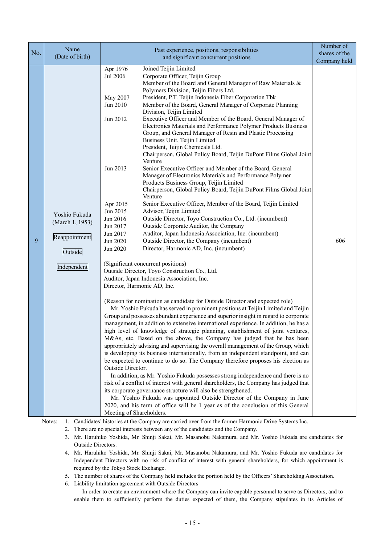|     | Name                                                                                  | Past experience, positions, responsibilities                                                                                                                                                                                                                                                                                                                                                                                                                                                                                                                                                                                                                                                                                                                                                                                                                                                                                                                                                                                                                                                                                                                                                                                                                                                                                                                                                                                                                                                                                                                                                                                                                                                                                                                                                                                                                                                                                                                                                                                                                                                                                                                                                                                                                                                                                                                                                                                                                                                                                                                                                                                                                                                                                                                                                                                                                                                                                                                              | Number of                     |
|-----|---------------------------------------------------------------------------------------|---------------------------------------------------------------------------------------------------------------------------------------------------------------------------------------------------------------------------------------------------------------------------------------------------------------------------------------------------------------------------------------------------------------------------------------------------------------------------------------------------------------------------------------------------------------------------------------------------------------------------------------------------------------------------------------------------------------------------------------------------------------------------------------------------------------------------------------------------------------------------------------------------------------------------------------------------------------------------------------------------------------------------------------------------------------------------------------------------------------------------------------------------------------------------------------------------------------------------------------------------------------------------------------------------------------------------------------------------------------------------------------------------------------------------------------------------------------------------------------------------------------------------------------------------------------------------------------------------------------------------------------------------------------------------------------------------------------------------------------------------------------------------------------------------------------------------------------------------------------------------------------------------------------------------------------------------------------------------------------------------------------------------------------------------------------------------------------------------------------------------------------------------------------------------------------------------------------------------------------------------------------------------------------------------------------------------------------------------------------------------------------------------------------------------------------------------------------------------------------------------------------------------------------------------------------------------------------------------------------------------------------------------------------------------------------------------------------------------------------------------------------------------------------------------------------------------------------------------------------------------------------------------------------------------------------------------------------------------|-------------------------------|
| No. | (Date of birth)                                                                       | and significant concurrent positions                                                                                                                                                                                                                                                                                                                                                                                                                                                                                                                                                                                                                                                                                                                                                                                                                                                                                                                                                                                                                                                                                                                                                                                                                                                                                                                                                                                                                                                                                                                                                                                                                                                                                                                                                                                                                                                                                                                                                                                                                                                                                                                                                                                                                                                                                                                                                                                                                                                                                                                                                                                                                                                                                                                                                                                                                                                                                                                                      | shares of the<br>Company held |
| 9   | Yoshio Fukuda<br>(March 1, 1953)<br>Reappointment<br>Outside<br>Independent<br>Notes: | Joined Teijin Limited<br>Apr 1976<br>Corporate Officer, Teijin Group<br>Jul 2006<br>Member of the Board and General Manager of Raw Materials &<br>Polymers Division, Teijin Fibers Ltd.<br>President, P.T. Teijin Indonesia Fiber Corporation Tbk<br>May 2007<br>Member of the Board, General Manager of Corporate Planning<br>Jun 2010<br>Division, Teijin Limited<br>Executive Officer and Member of the Board, General Manager of<br>Jun 2012<br>Electronics Materials and Performance Polymer Products Business<br>Group, and General Manager of Resin and Plastic Processing<br>Business Unit, Teijin Limited<br>President, Teijin Chemicals Ltd.<br>Chairperson, Global Policy Board, Teijin DuPont Films Global Joint<br>Venture<br>Senior Executive Officer and Member of the Board, General<br>Jun 2013<br>Manager of Electronics Materials and Performance Polymer<br>Products Business Group, Teijin Limited<br>Chairperson, Global Policy Board, Teijin DuPont Films Global Joint<br>Venture<br>Senior Executive Officer, Member of the Board, Teijin Limited<br>Apr 2015<br>Advisor, Teijin Limited<br>Jun 2015<br>Outside Director, Toyo Construction Co., Ltd. (incumbent)<br>Jun 2016<br>Outside Corporate Auditor, the Company<br>Jun 2017<br>Auditor, Japan Indonesia Association, Inc. (incumbent)<br>Jun 2017<br>Jun 2020<br>Outside Director, the Company (incumbent)<br>Director, Harmonic AD, Inc. (incumbent)<br>Jun 2020<br>(Significant concurrent positions)<br>Outside Director, Toyo Construction Co., Ltd.<br>Auditor, Japan Indonesia Association, Inc.<br>Director, Harmonic AD, Inc.<br>(Reason for nomination as candidate for Outside Director and expected role)<br>Mr. Yoshio Fukuda has served in prominent positions at Teijin Limited and Teijin<br>Group and possesses abundant experience and superior insight in regard to corporate<br>management, in addition to extensive international experience. In addition, he has a<br>high level of knowledge of strategic planning, establishment of joint ventures,<br>M&As, etc. Based on the above, the Company has judged that he has been<br>appropriately advising and supervising the overall management of the Group, which<br>is developing its business internationally, from an independent standpoint, and can<br>be expected to continue to do so. The Company therefore proposes his election as<br>Outside Director.<br>In addition, as Mr. Yoshio Fukuda possesses strong independence and there is no<br>risk of a conflict of interest with general shareholders, the Company has judged that<br>its corporate governance structure will also be strengthened.<br>Mr. Yoshio Fukuda was appointed Outside Director of the Company in June<br>2020, and his term of office will be 1 year as of the conclusion of this General<br>Meeting of Shareholders.<br>1. Candidates' histories at the Company are carried over from the former Harmonic Drive Systems Inc. | 606                           |

2. There are no special interests between any of the candidates and the Company.

- 3. Mr. Haruhiko Yoshida, Mr. Shinji Sakai, Mr. Masanobu Nakamura, and Mr. Yoshio Fukuda are candidates for Outside Directors.
- 4. Mr. Haruhiko Yoshida, Mr. Shinji Sakai, Mr. Masanobu Nakamura, and Mr. Yoshio Fukuda are candidates for Independent Directors with no risk of conflict of interest with general shareholders, for which appointment is required by the Tokyo Stock Exchange.
- 5. The number of shares of the Company held includes the portion held by the Officers' Shareholding Association.
- 6. Liability limitation agreement with Outside Directors

In order to create an environment where the Company can invite capable personnel to serve as Directors, and to enable them to sufficiently perform the duties expected of them, the Company stipulates in its Articles of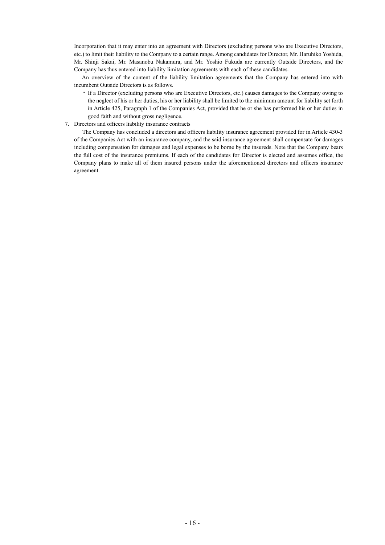Incorporation that it may enter into an agreement with Directors (excluding persons who are Executive Directors, etc.) to limit their liability to the Company to a certain range. Among candidates for Director, Mr. Haruhiko Yoshida, Mr. Shinji Sakai, Mr. Masanobu Nakamura, and Mr. Yoshio Fukuda are currently Outside Directors, and the Company has thus entered into liability limitation agreements with each of these candidates.

An overview of the content of the liability limitation agreements that the Company has entered into with incumbent Outside Directors is as follows.

- ・ If a Director (excluding persons who are Executive Directors, etc.) causes damages to the Company owing to the neglect of his or her duties, his or her liability shall be limited to the minimum amount for liability set forth in Article 425, Paragraph 1 of the Companies Act, provided that he or she has performed his or her duties in good faith and without gross negligence.
- 7. Directors and officers liability insurance contracts

The Company has concluded a directors and officers liability insurance agreement provided for in Article 430-3 of the Companies Act with an insurance company, and the said insurance agreement shall compensate for damages including compensation for damages and legal expenses to be borne by the insureds. Note that the Company bears the full cost of the insurance premiums. If each of the candidates for Director is elected and assumes office, the Company plans to make all of them insured persons under the aforementioned directors and officers insurance agreement.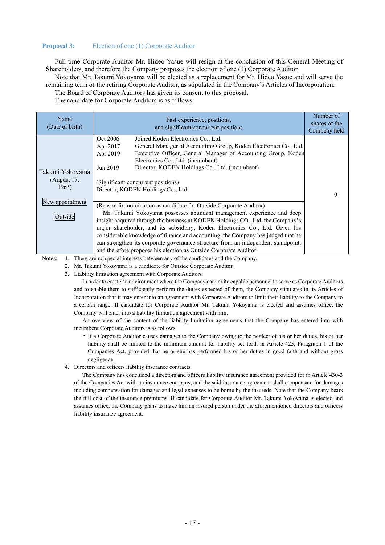## **Proposal 3:** Election of one (1) Corporate Auditor

Full-time Corporate Auditor Mr. Hideo Yasue will resign at the conclusion of this General Meeting of Shareholders, and therefore the Company proposes the election of one (1) Corporate Auditor.

Note that Mr. Takumi Yokoyama will be elected as a replacement for Mr. Hideo Yasue and will serve the remaining term of the retiring Corporate Auditor, as stipulated in the Company's Articles of Incorporation.

The Board of Corporate Auditors has given its consent to this proposal.

The candidate for Corporate Auditors is as follows:

| Name<br>(Date of birth)                 | Past experience, positions,<br>and significant concurrent positions                                                                                                                                                                                                                                                                                                                                                                                                                                                                                          | Number of<br>shares of the<br>Company held |  |
|-----------------------------------------|--------------------------------------------------------------------------------------------------------------------------------------------------------------------------------------------------------------------------------------------------------------------------------------------------------------------------------------------------------------------------------------------------------------------------------------------------------------------------------------------------------------------------------------------------------------|--------------------------------------------|--|
| Takumi Yokoyama<br>(August 17,<br>1963) | Oct 2006<br>Joined Koden Electronics Co., Ltd.<br>General Manager of Accounting Group, Koden Electronics Co., Ltd.<br>Apr 2017<br>Executive Officer, General Manager of Accounting Group, Koden<br>Apr 2019<br>Electronics Co., Ltd. (incumbent)<br>Director, KODEN Holdings Co., Ltd. (incumbent)<br>Jun 2019<br>(Significant concurrent positions)<br>Director, KODEN Holdings Co., Ltd.                                                                                                                                                                   |                                            |  |
| New appointment<br>Outside              | (Reason for nomination as candidate for Outside Corporate Auditor)<br>Mr. Takumi Yokoyama possesses abundant management experience and deep<br>insight acquired through the business at KODEN Holdings CO., Ltd, the Company's<br>major shareholder, and its subsidiary, Koden Electronics Co., Ltd. Given his<br>considerable knowledge of finance and accounting, the Company has judged that he<br>can strengthen its corporate governance structure from an independent standpoint,<br>and therefore proposes his election as Outside Corporate Auditor. |                                            |  |

Notes: 1. There are no special interests between any of the candidates and the Company.

2. Mr. Takumi Yokoyama is a candidate for Outside Corporate Auditor.

3. Liability limitation agreement with Corporate Auditors

In order to create an environment where the Company can invite capable personnel to serve as Corporate Auditors, and to enable them to sufficiently perform the duties expected of them, the Company stipulates in its Articles of Incorporation that it may enter into an agreement with Corporate Auditors to limit their liability to the Company to a certain range. If candidate for Corporate Auditor Mr. Takumi Yokoyama is elected and assumes office, the Company will enter into a liability limitation agreement with him.

An overview of the content of the liability limitation agreements that the Company has entered into with incumbent Corporate Auditors is as follows.

- ・ If a Corporate Auditor causes damages to the Company owing to the neglect of his or her duties, his or her liability shall be limited to the minimum amount for liability set forth in Article 425, Paragraph 1 of the Companies Act, provided that he or she has performed his or her duties in good faith and without gross negligence.
- 4. Directors and officers liability insurance contracts

The Company has concluded a directors and officers liability insurance agreement provided for in Article 430-3 of the Companies Act with an insurance company, and the said insurance agreement shall compensate for damages including compensation for damages and legal expenses to be borne by the insureds. Note that the Company bears the full cost of the insurance premiums. If candidate for Corporate Auditor Mr. Takumi Yokoyama is elected and assumes office, the Company plans to make him an insured person under the aforementioned directors and officers liability insurance agreement.